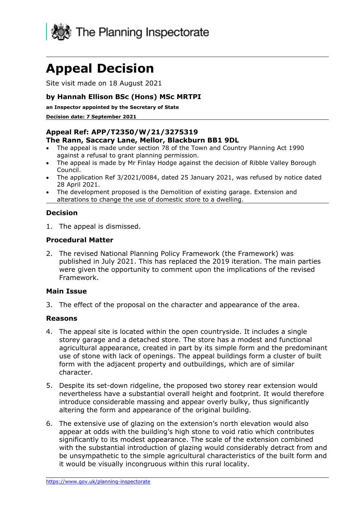

# **Appeal Decision**

Site visit made on 18 August 2021

# **by Hannah Ellison BSc (Hons) MSc MRTPI**

**an Inspector appointed by the Secretary of State** 

#### **Decision date: 7 September 2021**

## **Appeal Ref: APP/T2350/W/21/3275319**

#### **The Rann, Saccary Lane, Mellor, Blackburn BB1 9DL**

- The appeal is made under section 78 of the Town and Country Planning Act 1990 against a refusal to grant planning permission.
- The appeal is made by Mr Finlay Hodge against the decision of Ribble Valley Borough Council.
- The application Ref 3/2021/0084, dated 25 January 2021, was refused by notice dated 28 April 2021.
- The development proposed is the Demolition of existing garage. Extension and alterations to change the use of domestic store to a dwelling.

### **Decision**

1. The appeal is dismissed.

### **Procedural Matter**

2. The revised National Planning Policy Framework (the Framework) was published in July 2021. This has replaced the 2019 iteration. The main parties were given the opportunity to comment upon the implications of the revised Framework.

#### **Main Issue**

3. The effect of the proposal on the character and appearance of the area.

#### **Reasons**

- 4. The appeal site is located within the open countryside. It includes a single storey garage and a detached store. The store has a modest and functional agricultural appearance, created in part by its simple form and the predominant use of stone with lack of openings. The appeal buildings form a cluster of built form with the adjacent property and outbuildings, which are of similar character.
- 5. Despite its set-down ridgeline, the proposed two storey rear extension would nevertheless have a substantial overall height and footprint. It would therefore introduce considerable massing and appear overly bulky, thus significantly altering the form and appearance of the original building.
- 6. The extensive use of glazing on the extension's north elevation would also appear at odds with the building's high stone to void ratio which contributes significantly to its modest appearance. The scale of the extension combined with the substantial introduction of glazing would considerably detract from and be unsympathetic to the simple agricultural characteristics of the built form and it would be visually incongruous within this rural locality.